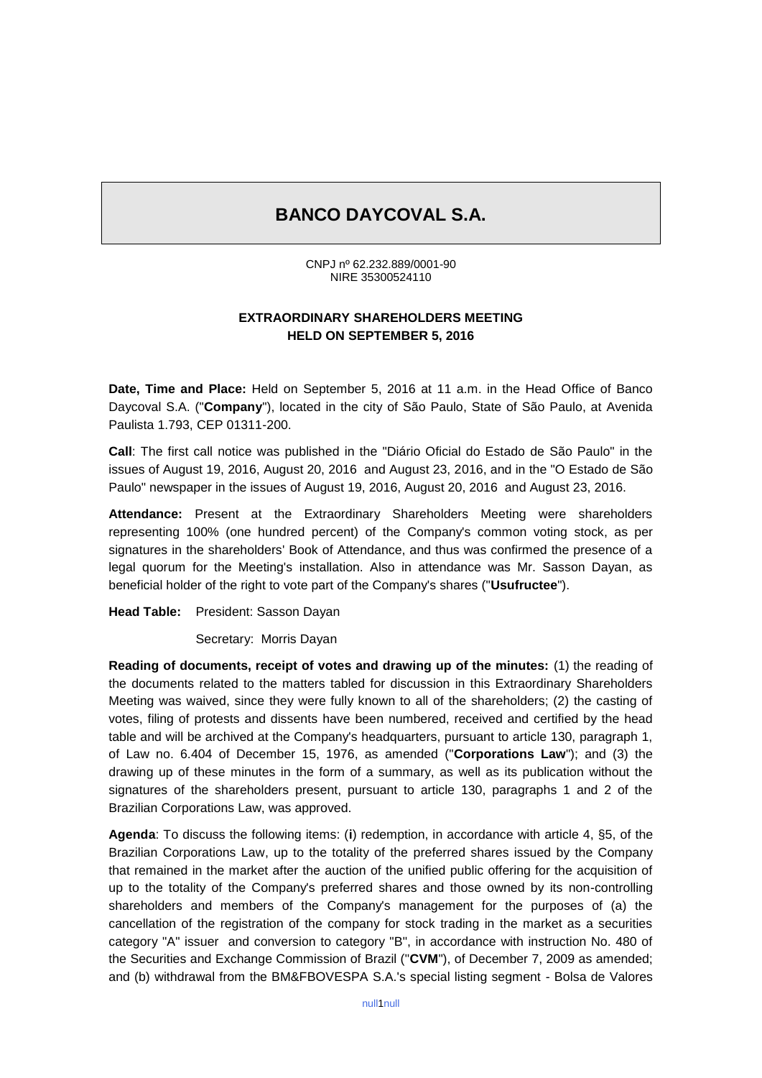## **BANCO DAYCOVAL S.A.**

CNPJ nº 62.232.889/0001-90 NIRE 35300524110

## **EXTRAORDINARY SHAREHOLDERS MEETING HELD ON SEPTEMBER 5, 2016**

**Date, Time and Place:** Held on September 5, 2016 at 11 a.m. in the Head Office of Banco Daycoval S.A. ("**Company**"), located in the city of São Paulo, State of São Paulo, at Avenida Paulista 1.793, CEP 01311-200.

**Call**: The first call notice was published in the "Diário Oficial do Estado de São Paulo" in the issues of August 19, 2016, August 20, 2016 and August 23, 2016, and in the "O Estado de São Paulo" newspaper in the issues of August 19, 2016, August 20, 2016 and August 23, 2016.

**Attendance:** Present at the Extraordinary Shareholders Meeting were shareholders representing 100% (one hundred percent) of the Company's common voting stock, as per signatures in the shareholders' Book of Attendance, and thus was confirmed the presence of a legal quorum for the Meeting's installation. Also in attendance was Mr. Sasson Dayan, as beneficial holder of the right to vote part of the Company's shares ("**Usufructee**").

**Head Table:** President: Sasson Dayan

Secretary: Morris Dayan

**Reading of documents, receipt of votes and drawing up of the minutes:** (1) the reading of the documents related to the matters tabled for discussion in this Extraordinary Shareholders Meeting was waived, since they were fully known to all of the shareholders; (2) the casting of votes, filing of protests and dissents have been numbered, received and certified by the head table and will be archived at the Company's headquarters, pursuant to article 130, paragraph 1, of Law no. 6.404 of December 15, 1976, as amended ("**Corporations Law**"); and (3) the drawing up of these minutes in the form of a summary, as well as its publication without the signatures of the shareholders present, pursuant to article 130, paragraphs 1 and 2 of the Brazilian Corporations Law, was approved.

**Agenda**: To discuss the following items: (**i**) redemption, in accordance with article 4, §5, of the Brazilian Corporations Law, up to the totality of the preferred shares issued by the Company that remained in the market after the auction of the unified public offering for the acquisition of up to the totality of the Company's preferred shares and those owned by its non-controlling shareholders and members of the Company's management for the purposes of (a) the cancellation of the registration of the company for stock trading in the market as a securities category "A" issuer and conversion to category "B", in accordance with instruction No. 480 of the Securities and Exchange Commission of Brazil ("**CVM**"), of December 7, 2009 as amended; and (b) withdrawal from the BM&FBOVESPA S.A.'s special listing segment - Bolsa de Valores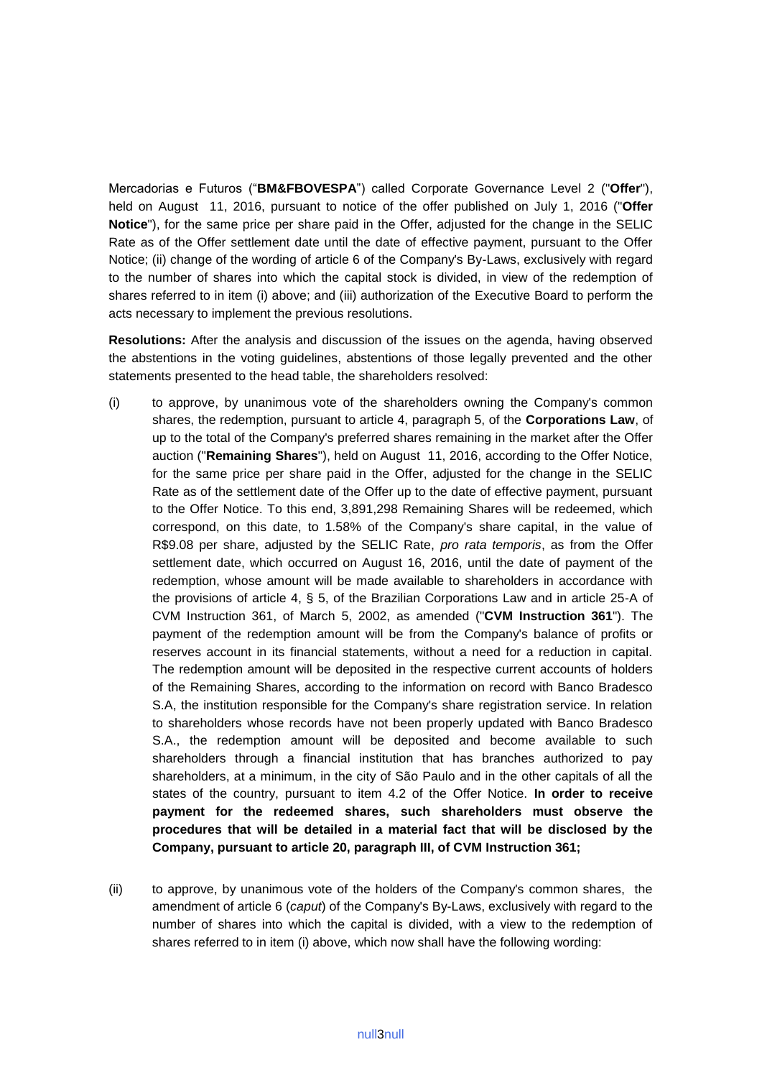Mercadorias e Futuros ("**BM&FBOVESPA**") called Corporate Governance Level 2 ("**Offer**"), held on August 11, 2016, pursuant to notice of the offer published on July 1, 2016 ("**Offer Notice**"), for the same price per share paid in the Offer, adjusted for the change in the SELIC Rate as of the Offer settlement date until the date of effective payment, pursuant to the Offer Notice; (ii) change of the wording of article 6 of the Company's By-Laws, exclusively with regard to the number of shares into which the capital stock is divided, in view of the redemption of shares referred to in item (i) above; and (iii) authorization of the Executive Board to perform the acts necessary to implement the previous resolutions.

**Resolutions:** After the analysis and discussion of the issues on the agenda, having observed the abstentions in the voting guidelines, abstentions of those legally prevented and the other statements presented to the head table, the shareholders resolved:

- (i) to approve, by unanimous vote of the shareholders owning the Company's common shares, the redemption, pursuant to article 4, paragraph 5, of the **Corporations Law**, of up to the total of the Company's preferred shares remaining in the market after the Offer auction ("**Remaining Shares**"), held on August 11, 2016, according to the Offer Notice, for the same price per share paid in the Offer, adjusted for the change in the SELIC Rate as of the settlement date of the Offer up to the date of effective payment, pursuant to the Offer Notice. To this end, 3,891,298 Remaining Shares will be redeemed, which correspond, on this date, to 1.58% of the Company's share capital, in the value of R\$9.08 per share, adjusted by the SELIC Rate, *pro rata temporis*, as from the Offer settlement date, which occurred on August 16, 2016, until the date of payment of the redemption, whose amount will be made available to shareholders in accordance with the provisions of article 4, § 5, of the Brazilian Corporations Law and in article 25-A of CVM Instruction 361, of March 5, 2002, as amended ("**CVM Instruction 361**"). The payment of the redemption amount will be from the Company's balance of profits or reserves account in its financial statements, without a need for a reduction in capital. The redemption amount will be deposited in the respective current accounts of holders of the Remaining Shares, according to the information on record with Banco Bradesco S.A, the institution responsible for the Company's share registration service. In relation to shareholders whose records have not been properly updated with Banco Bradesco S.A., the redemption amount will be deposited and become available to such shareholders through a financial institution that has branches authorized to pay shareholders, at a minimum, in the city of São Paulo and in the other capitals of all the states of the country, pursuant to item 4.2 of the Offer Notice. **In order to receive payment for the redeemed shares, such shareholders must observe the procedures that will be detailed in a material fact that will be disclosed by the Company, pursuant to article 20, paragraph III, of CVM Instruction 361;**
- (ii) to approve, by unanimous vote of the holders of the Company's common shares, the amendment of article 6 (*caput*) of the Company's By-Laws, exclusively with regard to the number of shares into which the capital is divided, with a view to the redemption of shares referred to in item (i) above, which now shall have the following wording: